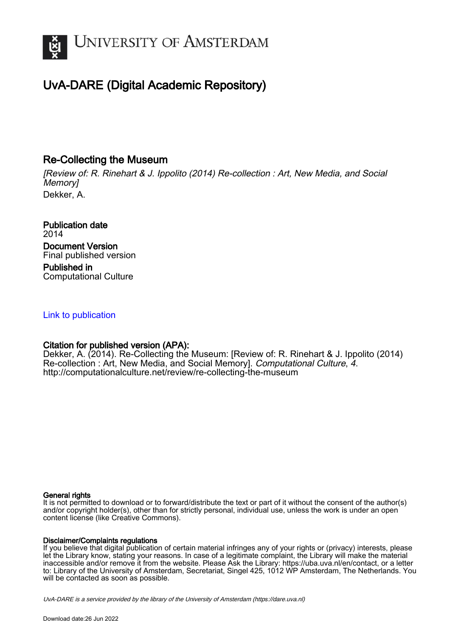

# UvA-DARE (Digital Academic Repository)

# Re-Collecting the Museum

[Review of: R. Rinehart & J. Ippolito (2014) Re-collection : Art, New Media, and Social Memory] Dekker, A.

Publication date 2014 Document Version Final published version Published in Computational Culture

## [Link to publication](https://dare.uva.nl/personal/pure/en/publications/recollecting-the-museum(26282633-f1f9-47c4-b935-683760aa9a06).html)

# Citation for published version (APA):

Dekker, A. (2014). Re-Collecting the Museum: [Review of: R. Rinehart & J. Ippolito (2014) Re-collection : Art, New Media, and Social Memory]. Computational Culture, 4. <http://computationalculture.net/review/re-collecting-the-museum>

#### General rights

It is not permitted to download or to forward/distribute the text or part of it without the consent of the author(s) and/or copyright holder(s), other than for strictly personal, individual use, unless the work is under an open content license (like Creative Commons).

#### Disclaimer/Complaints regulations

If you believe that digital publication of certain material infringes any of your rights or (privacy) interests, please let the Library know, stating your reasons. In case of a legitimate complaint, the Library will make the material inaccessible and/or remove it from the website. Please Ask the Library: https://uba.uva.nl/en/contact, or a letter to: Library of the University of Amsterdam, Secretariat, Singel 425, 1012 WP Amsterdam, The Netherlands. You will be contacted as soon as possible.

UvA-DARE is a service provided by the library of the University of Amsterdam (http*s*://dare.uva.nl)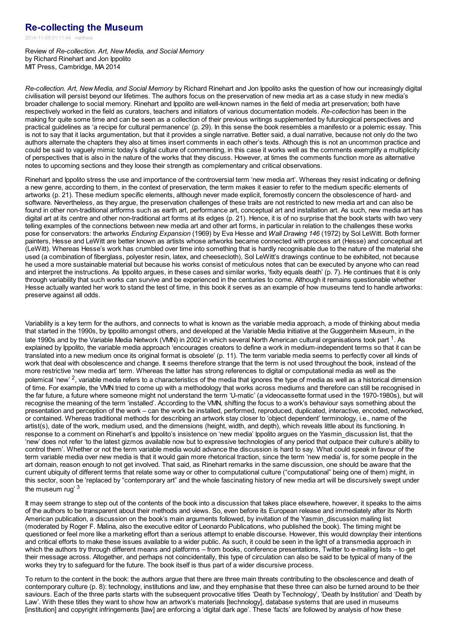### **[Re-collecting](http://computationalculture.net/re-collecting-the-museum/) the Museum**

2014-11-09 01:11:44 matthew

Review of *Re-collection. Art, New Media, and Social Memory* by Richard Rinehart and Jon Ippolito MIT Press, Cambridge, MA 2014

*Re-collection. Art, New Media, and Social Memory* by Richard Rinehart and Jon Ippolito asks the question of how our increasingly digital civilisation will persist beyond our lifetimes. The authors focus on the preservation of new media art as a case study in new media's broader challenge to social memory. Rinehart and Ippolito are well-known names in the field of media art preservation; both have respectively worked in the field as curators, teachers and initiators of various documentation models. *Re-collection* has been in the making for quite some time and can be seen as a collection of their previous writings supplemented by futurological perspectives and practical guidelines as 'a recipe for cultural permanence' (p. 29). In this sense the book resembles a manifesto or a polemic essay. This is not to say that it lacks argumentation, but that it provides a single narrative. Better said, a dual narrative, because not only do the two authors alternate the chapters they also at times insert comments in each other's texts. Although this is not an uncommon practice and could be said to vaguely mimic today's digital culture of commenting, in this case it works well as the comments exemplify a multiplicity of perspectives that is also in the nature of the works that they discuss. However, at times the comments function more as alternative notes to upcoming sections and they loose their strength as complementary and critical observations.

Rinehart and Ippolito stress the use and importance of the controversial term 'new media art'. Whereas they resist indicating or defining a new genre, according to them, in the context of preservation, the term makes it easier to refer to the medium specific elements of artworks (p. 21). These medium specific elements, although never made explicit, foremostly concern the obsolescence of hard- and software. Nevertheless, as they argue, the preservation challenges of these traits are not restricted to new media art and can also be found in other non-traditional artforms such as earth art, performance art, conceptual art and installation art. As such, new media art has digital art at its centre and other non-traditional art forms at its edges (p. 21). Hence, it is of no surprise that the book starts with two very telling examples of the connections between new media art and other art forms, in particular in relation to the challenges these works pose for conservators: the artworks *Enduring Expansion* (1969) by Eva Hesse and *Wall Drawing 146* (1972) by Sol LeWitt. Both former painters, Hesse and LeWitt are better known as artists whose artworks became connected with process art (Hesse) and conceptual art (LeWitt). Whereas Hesse's work has crumbled over time into something that is hardly recognisable due to the nature of the material she used (a combination of fiberglass, polyester resin, latex, and cheesecloth), Sol LeWitt's drawings continue to be exhibited, not because he used a more sustainable material but because his works consist of meticulous notes that can be executed by anyone who can read and interpret the instructions. As Ippolito argues, in these cases and similar works, 'fixity equals death' (p. 7). He continues that it is only through variability that such works can survive and be experienced in the centuries to come. Although it remains questionable whether Hesse actually wanted her work to stand the test of time, in this book it serves as an example of how museums tend to handle artworks: preserve against all odds.

Variability is a key term for the authors, and connects to what is known as the variable media approach, a mode of thinking about media that started in the 1990s, by Ippolito amongst others, and developed at the Variable Media Initiative at the Guggenheim Museum, in the late [1](http://computationalculture.net/#fn-2051-1)990s and by the Variable Media Network (VMN) in 2002 in which several North American cultural organisations took part <sup>1</sup>. As explained by Ippolito, the variable media approach 'encourages creators to define a work in medium-independent terms so that it can be translated into a new medium once its original format is obsolete' (p. 11). The term variable media seems to perfectly cover all kinds of work that deal with obsolescence and change. It seems therefore strange that the term is not used throughout the book, instead of the more restrictive 'new media art' term. Whereas the latter has strong references to digital or computational media as well as the polemical 'new' <sup>[2](http://computationalculture.net/#fn-2051-2)</sup>, variable media refers to a characteristics of the media that ignores the type of media as well as a historical dimension of time. For example, the VMN tried to come up with a methodology that works across mediums and therefore can still be recognised in the far future, a future where someone might not understand the term 'U-matic' (a videocassette format used in the 1970-1980s), but will recognise the meaning of the term 'installed'. According to the VMN, shifting the focus to a work's behaviour says something about the presentation and perception of the work – can the work be installed, performed, reproduced, duplicated, interactive, encoded, networked, or contained. Whereas traditional methods for describing an artwork stay closer to 'object dependent' terminology, i.e., name of the artist(s), date of the work, medium used, and the dimensions (height, width, and depth), which reveals little about its functioning. In response to a comment on Rinehart's and Ippolito's insistence on 'new media' Ippolito argues on the Yasmin\_discussion list, that the 'new' does not refer 'to the latest gizmos available now but to expressive technologies of any period that outpace their culture's ability to control them'. Whether or not the term variable media would advance the discussion is hard to say. What could speak in favour of the term variable media over new media is that it would gain more rhetorical traction, since the term 'new media' is, for some people in the art domain, reason enough to not get involved. That said, as Rinehart remarks in the same discussion, one should be aware that the current ubiquity of different terms that relate some way or other to computational culture ("computational" being one of them) might, in this sector, soon be 'replaced by "contemporary art" and the whole fascinating history of new media art will be discursively swept under the museum rug' [3](http://computationalculture.net/#fn-2051-3)

It may seem strange to step out of the contents of the book into a discussion that takes place elsewhere, however, it speaks to the aims of the authors to be transparent about their methods and views. So, even before its European release and immediately after its North American publication, a discussion on the book's main arguments followed, by invitation of the Yasmin\_discussion mailing list (moderated by Roger F. Malina, also the executive editor of Leonardo Publications, who published the book). The timing might be questioned or feel more like a marketing effort than a serious attempt to enable discourse. However, this would downplay their intentions and critical efforts to make these issues available to a wider public. As such, it could be seen in the light of a transmedia approach in which the authors try through different means and platforms – from books, conference presentations, Twitter to e-mailing lists – to get their message across. Altogether, and perhaps not coincidentally, this type of circulation can also be said to be typical of many of the works they try to safeguard for the future. The book itself is thus part of a wider discursive process.

To return to the content in the book: the authors argue that there are three main threats contributing to the obsolescence and death of contemporary culture (p. 8): technology, institutions and law, and they emphasise that these three can also be turned around to be their saviours. Each of the three parts starts with the subsequent provocative titles 'Death by Technology', 'Death by Institution' and 'Death by Law'. With these titles they want to show how an artwork's materials [technology], database systems that are used in museums [institution] and copyright infringements [law] are enforcing a 'digital dark age'. These 'facts' are followed by analysis of how these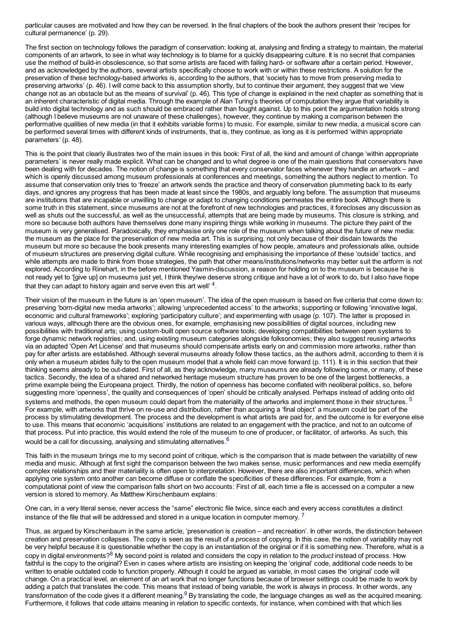particular causes are motivated and how they can be reversed. In the final chapters of the book the authors present their 'recipes for cultural permanence' (p. 29).

The first section on technology follows the paradigm of conservation: looking at, analysing and finding a strategy to maintain, the material components of an artwork, to see in what way technology is to blame for a quickly disappearing culture. It is no secret that companies use the method of build-in obsolescence, so that some artists are faced with failing hard- or software after a certain period. However, and as acknowledged by the authors, several artists specifically choose to work with or within these restrictions. A solution for the preservation of these technology-based artworks is, according to the authors, that 'society has to move from preserving media to preserving artworks' (p. 46). I will come back to this assumption shortly, but to continue their argument, they suggest that we 'view change not as an obstacle but as the means of survival' (p. 46). This type of change is explained in the next chapter as something that is an inherent characteristic of digital media. Through the example of Alan Turing's theories of computation they argue that variability is build into digital technology and as such should be embraced rather than fought against. Up to this point the argumentation holds strong (although I believe museums are not unaware of these challenges), however, they continue by making a comparison between the performative qualities of new media (in that it exhibits variable forms) to music. For example, similar to new media, a musical score can be performed several times with different kinds of instruments, that is, they continue, as long as it is performed 'within appropriate parameters' (p. 48).

This is the point that clearly illustrates two of the main issues in this book: First of all, the kind and amount of change 'within appropriate parameters' is never really made explicit. What can be changed and to what degree is one of the main questions that conservators have been dealing with for decades. The notion of change is something that every conservator faces whenever they handle an artwork – and which is openly discussed among museum professionals at conferences and meetings, something the authors neglect to mention. To assume that conservation only tries to 'freeze' an artwork sends the practice and theory of conservation plummeting back to its early days, and ignores any progress that has been made at least since the 1980s, and arguably long before. The assumption that museums are institutions that are incapable or unwilling to change or adapt to changing conditions permeates the entire book. Although there is some truth in this statement, since museums are not at the forefront of new technologies and practices, it forecloses any discussion as well as shuts out the successful, as well as the unsuccessful, attempts that are being made by museums. This closure is striking, and more so because both authors have themselves done many inspiring things while working in museums. The picture they paint of the museum is very generalised. Paradoxically, they emphasise only one role of the museum when talking about the future of new media: the museum as the place for the preservation of new media art. This is surprising, not only because of their disdain towards the museum but more so because the book presents many interesting examples of how people, amateurs and professionals alike, outside of museum structures are preserving digital culture. While recognising and emphasising the importance of these 'outside' tactics, and while attempts are made to think from those strategies, the path that other means/institutions/networks may better suit the artform is not explored. According to Rinehart, in the before mentioned Yasmin-discussion, a reason for holding on to the museum is because he is not ready yet to '[give up] on museums just yet, I think they/we deserve strong critique and have a lot of work to do, but I also have hope that they can adapt to history again and serve even this art well'  $4$ .

Their vision of the museum in the future is an 'open museum'. The idea of the open museum is based on five criteria that come down to: preserving 'born-digital new media artworks'; allowing 'unprecedented access' to the artworks; supporting or following 'innovative legal, economic and cultural frameworks'; exploring 'participatory culture'; and experimenting with usage (p. 107). The latter is proposed in various ways, although there are the obvious ones, for example, emphasising new possibilities of digital sources, including new possibilities with traditional arts; using custom-built open source software tools; developing compatibilities between open systems to forge dynamic network registries; and, using existing museum categories alongside folksonomies; they also suggest reusing artworks via an adapted 'Open Art License' and that museums should compensate artists early on and commission more artworks, rather than pay for after artists are established. Although several museums already follow these tactics, as the authors admit, according to them it is only when a museum abides fully to the open museum model that a whole field can move forward (p. 111). It is in this section that their thinking seems already to be out-dated. First of all, as they acknowledge, many museums are already following some, or many, of these tactics. Secondly, the idea of a shared and networked heritage museum structure has proven to be one of the largest bottlenecks, a prime example being the Europeana project. Thirdly, the notion of openness has become conflated with neoliberal politics, so, before suggesting more 'openness', the quality and consequences of 'open' should be critically analysed. Perhaps instead of adding onto old systems and methods, the open museum could depart from the materiality of the artworks and implement those in their structures.  $^5$  $^5$ For example, with artworks that thrive on re-use and distribution, rather than acquiring a 'final object' a museum could be part of the process by stimulating development. The process and the development is what artists are paid for, and the outcome is for everyone else to use. This means that economic 'acquisitions' institutions are related to an engagement with the practice, and not to an outcome of that process. Put into practice, this would extend the role of the museum to one of producer, or facilitator, of artworks. As such, this would be a call for discussing, analysing and stimulating alternatives.  $6$ 

This faith in the museum brings me to my second point of critique, which is the comparison that is made between the variability of new media and music. Although at first sight the comparison between the two makes sense, music performances and new media exemplify complex relationships and their materiality is often open to interpretation. However, there are also important differences, which when applying one system onto another can become diffuse or conflate the specificities of these differences. For example, from a computational point of view the comparison falls short on two accounts: First of all, each time a file is accessed on a computer a new version is stored to memory. As Matthew Kirschenbaum explains:

One can, in a very literal sense, never access the "same" electronic file twice, since each and every access constitutes a distinct instance of the file that will be addressed and stored in a unique location in computer memory.  $^7$  $^7$ 

Thus, as argued by Kirschenbaum in the same article, 'preservation is creation – and recreation'. In other words, the distinction between creation and preservation collapses. The copy is seen as the result of a *process* of copying. In this case, the notion of variability may not be very helpful because it is questionable whether the copy is an instantiation of the original or if it is something new. Therefore, what is a copy in digital environments? [8](http://computationalculture.net/#fn-2051-8) My second point is related and considers the copy in relation to the *product* instead of process. How faithful is the copy to the original? Even in cases where artists are insisting on keeping the 'original' code, additional code needs to be written to enable outdated code to function properly. Although it could be argued as variable, in most cases the 'original' code will change. On a practical level, an element of an art work that no longer functions because of browser settings could be made to work by adding a patch that translates the code. This means that instead of being variable, the work is always in process. In other words, any transformation of the code gives it a different meaning.<sup>[9](http://computationalculture.net/#fn-2051-9)</sup> By translating the code, the language changes as well as the acquired meaning. Furthermore, it follows that code attains meaning in relation to specific contexts, for instance, when combined with that which lies